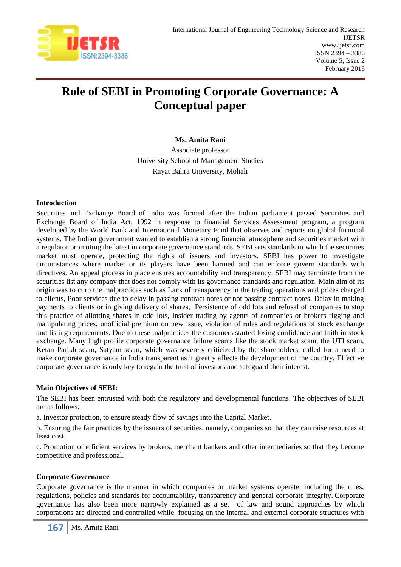

# **Role of SEBI in Promoting Corporate Governance: A Conceptual paper**

## **Ms. Amita Rani**

Associate professor University School of Management Studies Rayat Bahra University, Mohali

#### **Introduction**

Securities and Exchange Board of India was formed after the Indian parliament passed Securities and Exchange Board of India Act, 1992 in response to financial Services Assessment program, a program developed by the World Bank and International Monetary Fund that observes and reports on global financial systems. The Indian government wanted to establish a strong financial atmosphere and securities market with a regulator promoting the latest in corporate governance standards. SEBI sets standards in which the securities market must operate, protecting the rights of issuers and investors. SEBI has power to investigate circumstances where market or its players have been harmed and can enforce govern standards with directives. An appeal process in place ensures accountability and transparency. SEBI may terminate from the securities list any company that does not comply with its governance standards and regulation. Main aim of its origin was to curb the malpractices such as Lack of transparency in the trading operations and prices charged to clients, Poor services due to delay in passing contract notes or not passing contract notes, Delay in making payments to clients or in giving delivery of shares, Persistence of odd lots and refusal of companies to stop this practice of allotting shares in odd lots, Insider trading by agents of companies or brokers rigging and manipulating prices, unofficial premium on new issue, violation of rules and regulations of stock exchange and listing requirements. Due to these malpractices the customers started losing confidence and faith in stock exchange. Many high profile corporate governance failure scams like the stock market scam, the UTI scam, Ketan Parikh scam, Satyam scam, which was severely criticized by the shareholders, called for a need to make corporate governance in India transparent as it greatly affects the development of the country. Effective corporate governance is only key to regain the trust of investors and safeguard their interest.

## **Main Objectives of SEBI:**

The SEBI has been entrusted with both the regulatory and developmental functions. The objectives of SEBI are as follows:

a. Investor protection, to ensure steady flow of savings into the Capital Market.

b. Ensuring the fair practices by the issuers of securities, namely, companies so that they can raise resources at least cost.

c. Promotion of efficient services by brokers, merchant bankers and other intermediaries so that they become competitive and professional.

## **Corporate Governance**

Corporate governance is the manner in which companies or market systems operate, including the rules, regulations, policies and standards for accountability, transparency and general corporate integrity. Corporate governance has also been more narrowly explained as a set of law and sound approaches by which corporations are directed and controlled while focusing on the internal and external corporate structures with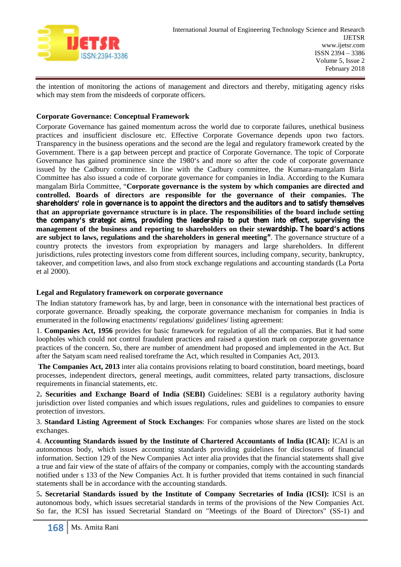

the intention of monitoring the actions of management and directors and thereby, mitigating agency risks which may stem from the misdeeds of corporate officers.

#### **Corporate Governance: Conceptual Framework**

Corporate Governance has gained momentum across the world due to corporate failures, unethical business practices and insufficient disclosure etc. Effective Corporate Governance depends upon two factors. Transparency in the business operations and the second are the legal and regulatory framework created by the Government. There is a gap between percept and practice of Corporate Governance. The topic of Corporate Governance has gained prominence since the 1980's and more so after the code of corporate governance issued by the Cadbury committee. In line with the Cadbury committee, the Kumara-mangalam Birla Committee has also issued a code of corporate governance for companies in India. According to the Kumara mangalam Birla Committee, "**Corporate governance is the system by which companies are directed and controlled. Boards of directors are responsible for the governance of their companies. The shareholders' role in governance is to appoint the directors and the auditors and to satisfy themselves that an appropriate governance structure is in place. The responsibilities of the board include setting the company's strategic aims, providing the leadership to put them into effect, supervising the management of the business and reporting to shareholders on their stewardship. The board's actions are subject to laws, regulations and the shareholders in general meeting"**. The governance structure of a country protects the investors from expropriation by managers and large shareholders. In different jurisdictions, rules protecting investors come from different sources, including company, security, bankruptcy, takeover, and competition laws, and also from stock exchange regulations and accounting standards (La Porta et al 2000).

#### **Legal and Regulatory framework on corporate governance**

The Indian statutory framework has, by and large, been in consonance with the international best practices of corporate governance. Broadly speaking, the corporate governance mechanism for companies in India is enumerated in the following enactments/ regulations/ guidelines/ listing agreement:

1. **Companies Act, 1956** provides for basic framework for regulation of all the companies. But it had some loopholes which could not control fraudulent practices and raised a question mark on corporate governance practices of the concern. So, there are number of amendment had proposed and implemented in the Act. But after the Satyam scam need realised toreframe the Act, which resulted in Companies Act, 2013.

**The Companies Act, 2013** inter alia contains provisions relating to board constitution, board meetings, board processes, independent directors, general meetings, audit committees, related party transactions, disclosure requirements in financial statements, etc.

2**. Securities and Exchange Board of India (SEBI)** Guidelines: SEBI is a regulatory authority having jurisdiction over listed companies and which issues regulations, rules and guidelines to companies to ensure protection of investors.

3. **Standard Listing Agreement of Stock Exchanges**: For companies whose shares are listed on the stock exchanges.

4. **Accounting Standards issued by the Institute of Chartered Accountants of India (ICAI):** ICAI is an autonomous body, which issues accounting standards providing guidelines for disclosures of financial information. Section 129 of the New Companies Act inter alia provides that the financial statements shall give a true and fair view of the state of affairs of the company or companies, comply with the accounting standards notified under s 133 of the New Companies Act. It is further provided that items contained in such financial statements shall be in accordance with the accounting standards.

5**. Secretarial Standards issued by the Institute of Company Secretaries of India (ICSI):** ICSI is an autonomous body, which issues secretarial standards in terms of the provisions of the New Companies Act. So far, the ICSI has issued Secretarial Standard on "Meetings of the Board of Directors" (SS-1) and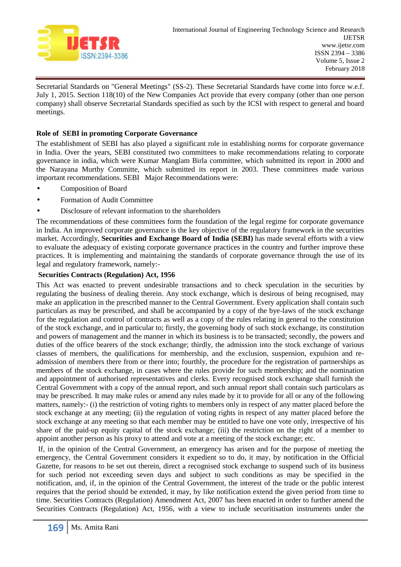

Secretarial Standards on "General Meetings" (SS-2). These Secretarial Standards have come into force w.e.f. July 1, 2015. Section 118(10) of the New Companies Act provide that every company (other than one person company) shall observe Secretarial Standards specified as such by the ICSI with respect to general and board meetings.

## **Role of SEBI in promoting Corporate Governance**

The establishment of SEBI has also played a significant role in establishing norms for corporate governance in India. Over the years, SEBI constituted two committees to make recommendations relating to corporate governance in india, which were Kumar Manglam Birla committee, which submitted its report in 2000 and the Narayana Murthy Committe, which submitted its report in 2003. These committees made various important recommendations. SEBI Major Recommendations were:

- Composition of Board
- Formation of Audit Committee
- Disclosure of relevant information to the shareholders

The recommendations of these committees form the foundation of the legal regime for corporate governance in India. An improved corporate governance is the key objective of the regulatory framework in the securities market. Accordingly, **Securities and Exchange Board of India (SEBI)** has made several efforts with a view to evaluate the adequacy of existing corporate governance practices in the country and further improve these practices. It is implementing and maintaining the standards of corporate governance through the use of its legal and regulatory framework, namely:-

## **Securities Contracts (Regulation) Act, 1956**

This Act was enacted to prevent undesirable transactions and to check speculation in the securities by regulating the business of dealing therein. Any stock exchange, which is desirous of being recognised, may make an application in the prescribed manner to the Central Government. Every application shall contain such particulars as may be prescribed, and shall be accompanied by a copy of the bye-laws of the stock exchange for the regulation and control of contracts as well as a copy of the rules relating in general to the constitution of the stock exchange, and in particular to; firstly, the governing body of such stock exchange, its constitution and powers of management and the manner in which its business is to be transacted; secondly, the powers and duties of the office bearers of the stock exchange; thirdly, the admission into the stock exchange of various classes of members, the qualifications for membership, and the exclusion, suspension, expulsion and re admission of members there from or there into; fourthly, the procedure for the registration of partnerships as members of the stock exchange, in cases where the rules provide for such membership; and the nomination and appointment of authorised representatives and clerks. Every recognised stock exchange shall furnish the Central Government with a copy of the annual report, and such annual report shall contain such particulars as may be prescribed. It may make rules or amend any rules made by it to provide for all or any of the following matters, namely:- (i) the restriction of voting rights to members only in respect of any matter placed before the stock exchange at any meeting; (ii) the regulation of voting rights in respect of any matter placed before the stock exchange at any meeting so that each member may be entitled to have one vote only, irrespective of his share of the paid-up equity capital of the stock exchange; (iii) the restriction on the right of a member to appoint another person as his proxy to attend and vote at a meeting of the stock exchange; etc.

If, in the opinion of the Central Government, an emergency has arisen and for the purpose of meeting the emergency, the Central Government considers it expedient so to do, it may, by notification in the Official Gazette, for reasons to be set out therein, direct a recognised stock exchange to suspend such of its business for such period not exceeding seven days and subject to such conditions as may be specified in the notification, and, if, in the opinion of the Central Government, the interest of the trade or the public interest requires that the period should be extended, it may, by like notification extend the given period from time to time. Securities Contracts (Regulation) Amendment Act, 2007 has been enacted in order to further amend the Securities Contracts (Regulation) Act, 1956, with a view to include securitisation instruments under the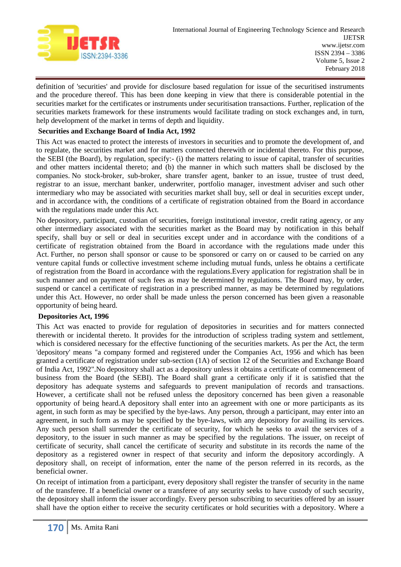

definition of 'securities' and provide for disclosure based regulation for issue of the securitised instruments and the procedure thereof. This has been done keeping in view that there is considerable potential in the securities market for the certificates or instruments under securitisation transactions. Further, replication of the securities markets framework for these instruments would facilitate trading on stock exchanges and, in turn, help development of the market in terms of depth and liquidity.

## **Securities and Exchange Board of India Act, 1992**

This Act was enacted to protect the interests of investors in securities and to promote the development of, and to regulate, the securities market and for matters connected therewith or incidental thereto. For this purpose, the SEBI (the Board), by regulation, specify:- (i) the matters relating to issue of capital, transfer of securities and other matters incidental thereto; and (b) the manner in which such matters shall be disclosed by the companies. No stock-broker, sub-broker, share transfer agent, banker to an issue, trustee of trust deed, registrar to an issue, merchant banker, underwriter, portfolio manager, investment adviser and such other intermediary who may be associated with securities market shall buy, sell or deal in securities except under, and in accordance with, the conditions of a certificate of registration obtained from the Board in accordance with the regulations made under this Act.

No depository, participant, custodian of securities, foreign institutional investor, credit rating agency, or any other intermediary associated with the securities market as the Board may by notification in this behalf specify, shall buy or sell or deal in securities except under and in accordance with the conditions of a certificate of registration obtained from the Board in accordance with the regulations made under this Act. Further, no person shall sponsor or cause to be sponsored or carry on or caused to be carried on any venture capital funds or collective investment scheme including mutual funds, unless he obtains a certificate of registration from the Board in accordance with the regulations.Every application for registration shall be in such manner and on payment of such fees as may be determined by regulations. The Board may, by order, suspend or cancel a certificate of registration in a prescribed manner, as may be determined by regulations under this Act. However, no order shall be made unless the person concerned has been given a reasonable opportunity of being heard.

## **Depositories Act, 1996**

This Act was enacted to provide for regulation of depositories in securities and for matters connected therewith or incidental thereto. It provides for the introduction of scripless trading system and settlement, which is considered necessary for the effective functioning of the securities markets. As per the Act, the term 'depository' means "a company formed and registered under the Companies Act, 1956 and which has been granted a certificate of registration under sub-section (1A) of section 12 of the Securities and Exchange Board of India Act, 1992".No depository shall act as a depository unless it obtains a certificate of commencement of business from the Board (the SEBI). The Board shall grant a certificate only if it is satisfied that the depository has adequate systems and safeguards to prevent manipulation of records and transactions. However, a certificate shall not be refused unless the depository concerned has been given a reasonable opportunity of being heard.A depository shall enter into an agreement with one or more participants as its agent, in such form as may be specified by the bye-laws. Any person, through a participant, may enter into an agreement, in such form as may be specified by the bye-laws, with any depository for availing its services. Any such person shall surrender the certificate of security, for which he seeks to avail the services of a depository, to the issuer in such manner as may be specified by the regulations. The issuer, on receipt of certificate of security, shall cancel the certificate of security and substitute in its records the name of the depository as a registered owner in respect of that security and inform the depository accordingly. A depository shall, on receipt of information, enter the name of the person referred in its records, as the beneficial owner.

On receipt of intimation from a participant, every depository shall register the transfer of security in the name of the transferee. If a beneficial owner or a transferee of any security seeks to have custody of such security, the depository shall inform the issuer accordingly. Every person subscribing to securities offered by an issuer shall have the option either to receive the security certificates or hold securities with a depository. Where a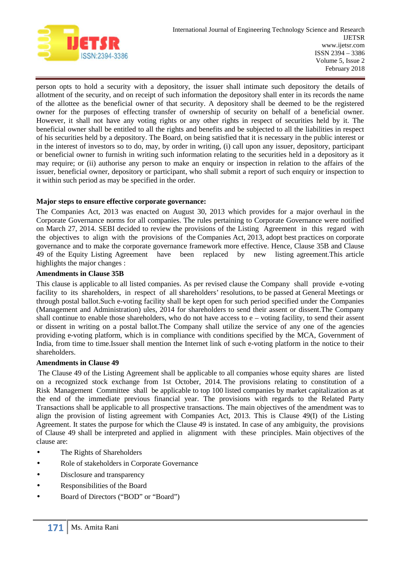

person opts to hold a security with a depository, the issuer shall intimate such depository the details of allotment of the security, and on receipt of such information the depository shall enter in its records the name of the allottee as the beneficial owner of that security. A depository shall be deemed to be the registered owner for the purposes of effecting transfer of ownership of security on behalf of a beneficial owner. However, it shall not have any voting rights or any other rights in respect of securities held by it. The beneficial owner shall be entitled to all the rights and benefits and be subjected to all the liabilities in respect of his securities held by a depository. The Board, on being satisfied that it is necessary in the public interest or in the interest of investors so to do, may, by order in writing, (i) call upon any issuer, depository, participant or beneficial owner to furnish in writing such information relating to the securities held in a depository as it may require; or (ii) authorise any person to make an enquiry or inspection in relation to the affairs of the issuer, beneficial owner, depository or participant, who shall submit a report of such enquiry or inspection to it within such period as may be specified in the order.

## **Major steps to ensure effective corporate governance:**

The Companies Act, 2013 was enacted on August 30, 2013 which provides for a major overhaul in the Corporate Governance norms for all companies. The rules pertaining to Corporate Governance were notified on March 27, 2014. SEBI decided to review the provisions of the Listing Agreement in this regard with the objectives to align with the provisions of the Companies Act, 2013, adopt best practices on corporate governance and to make the corporate governance framework more effective. Hence, Clause 35B and Clause 49 of the Equity Listing Agreement have been replaced by new listing agreement.This article highlights the major changes :

#### **Amendments in Clause 35B**

This clause is applicable to all listed companies. As per revised clause the Company shall provide e-voting facility to its shareholders, in respect of all shareholders' resolutions, to be passed at General Meetings or through postal ballot.Such e-voting facility shall be kept open for such period specified under the Companies (Management and Administration) ules, 2014 for shareholders to send their assent or dissent.The Company shall continue to enable those shareholders, who do not have access to e – voting facility, to send their assent or dissent in writing on a postal ballot.The Company shall utilize the service of any one of the agencies providing e-voting platform, which is in compliance with conditions specified by the MCA, Government of India, from time to time.Issuer shall mention the Internet link of such e-voting platform in the notice to their shareholders.

#### **Amendments in Clause 49**

The Clause 49 of the Listing Agreement shall be applicable to all companies whose equity shares are listed on a recognized stock exchange from 1st October, 2014. The provisions relating to constitution of a Risk Management Committee shall be applicable to top 100 listed companies by market capitalization as at the end of the immediate previous financial year. The provisions with regards to the Related Party Transactions shall be applicable to all prospective transactions. The main objectives of the amendment was to align the provision of listing agreement with Companies Act, 2013. This is Clause 49(I) of the Listing Agreement. It states the purpose for which the Clause 49 is instated. In case of any ambiguity, the provisions of Clause 49 shall be interpreted and applied in alignment with these principles. Main objectives of the clause are:

- The Rights of Shareholders
- Role of stakeholders in Corporate Governance
- Disclosure and transparency
- Responsibilities of the Board
- Board of Directors ("BOD" or "Board")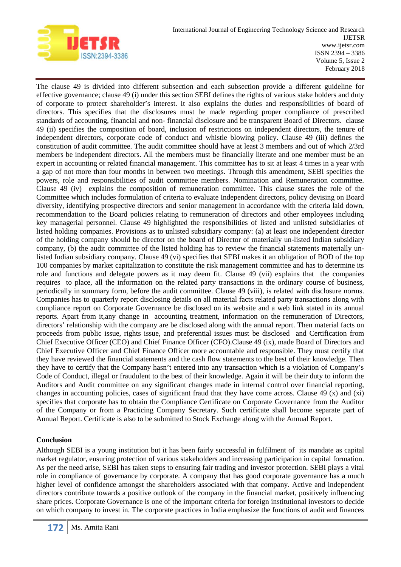

The clause 49 is divided into different subsection and each subsection provide a different guideline for effective governance; clause 49 (i) under this section SEBI defines the rights of various stake holders and duty of corporate to protect shareholder's interest. It also explains the duties and responsibilities of board of directors. This specifies that the disclosures must be made regarding proper compliance of prescribed standards of accounting, financial and non- financial disclosure and be transparent Board of Directors. clause 49 (ii) specifies the composition of board, inclusion of restrictions on independent directors, the tenure of independent directors, corporate code of conduct and whistle blowing policy. Clause 49 (iii) defines the constitution of audit committee. The audit committee should have at least 3 members and out of which 2/3rd members be independent directors. All the members must be financially literate and one member must be an expert in accounting or related financial management. This committee has to sit at least 4 times in a year with a gap of not more than four months in between two meetings. Through this amendment, SEBI specifies the powers, role and responsibilities of audit committee members. Nomination and Remuneration committee. Clause 49 (iv) explains the composition of remuneration committee. This clause states the role of the Committee which includes formulation of criteria to evaluate Independent directors, policy devising on Board diversity, identifying prospective directors and senior management in accordance with the criteria laid down, recommendation to the Board policies relating to remuneration of directors and other employees including key managerial personnel. Clause 49 highlighted the responsibilities of listed and unlisted subsidiaries of listed holding companies. Provisions as to unlisted subsidiary company: (a) at least one independent director of the holding company should be director on the board of Director of materially un-listed Indian subsidiary company, (b) the audit committee of the listed holding has to review the financial statements materially unlisted Indian subsidiary company. Clause 49 (vi) specifies that SEBI makes it an obligation of BOD of the top 100 companies by market capitalization to constitute the risk management committee and has to determine its role and functions and delegate powers as it may deem fit. Clause 49 (vii) explains that the companies requires to place, all the information on the related party transactions in the ordinary course of business, periodically in summary form, before the audit committee. Clause 49 (viii), is related with disclosure norms. Companies has to quarterly report disclosing details on all material facts related party transactions along with compliance report on Corporate Governance be disclosed on its website and a web link stated in its annual reports. Apart from it,any change in accounting treatment, information on the remuneration of Directors, directors' relationship with the company are be disclosed along with the annual report. Then material facts on proceeds from public issue, rights issue, and preferential issues must be disclosed and Certification from Chief Executive Officer (CEO) and Chief Finance Officer (CFO).Clause 49 (ix), made Board of Directors and Chief Executive Officer and Chief Finance Officer more accountable and responsible. They must certify that they have reviewed the financial statements and the cash flow statements to the best of their knowledge. Then they have to certify that the Company hasn't entered into any transaction which is a violation of Company's Code of Conduct, illegal or fraudulent to the best of their knowledge. Again it will be their duty to inform the Auditors and Audit committee on any significant changes made in internal control over financial reporting, changes in accounting policies, cases of significant fraud that they have come across. Clause 49 (x) and (xi) specifies that corporate has to obtain the Compliance Certificate on Corporate Governance from the Auditor of the Company or from a Practicing Company Secretary. Such certificate shall become separate part of Annual Report. Certificate is also to be submitted to Stock Exchange along with the Annual Report.

## **Conclusion**

Although SEBI is a young institution but it has been fairly successful in fulfilment of its mandate as capital market regulator, ensuring protection of various stakeholders and increasing participation in capital formation. As per the need arise, SEBI has taken steps to ensuring fair trading and investor protection. SEBI plays a vital role in compliance of governance by corporate. A company that has good corporate governance has a much higher level of confidence amongst the shareholders associated with that company. Active and independent directors contribute towards a positive outlook of the company in the financial market, positively influencing share prices. Corporate Governance is one of the important criteria for foreign institutional investors to decide on which company to invest in. The corporate practices in India emphasize the functions of audit and finances